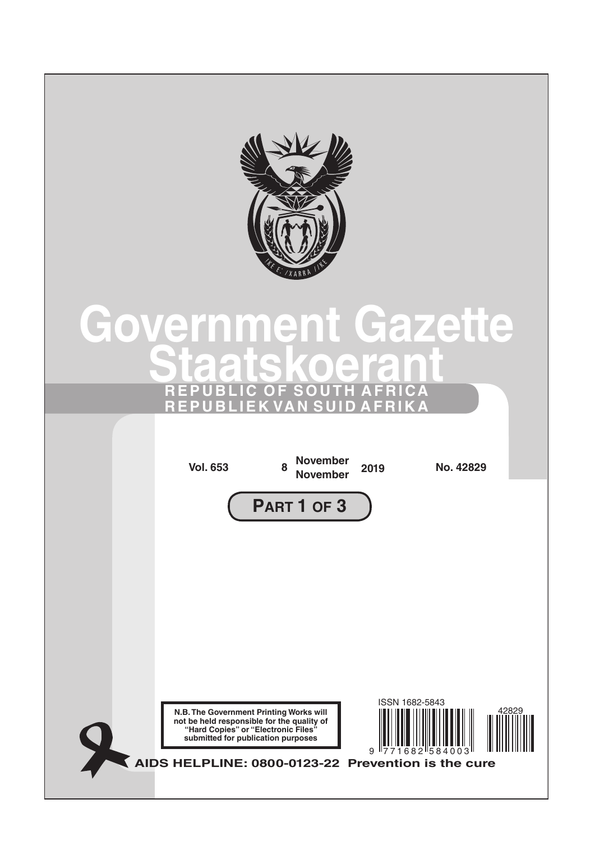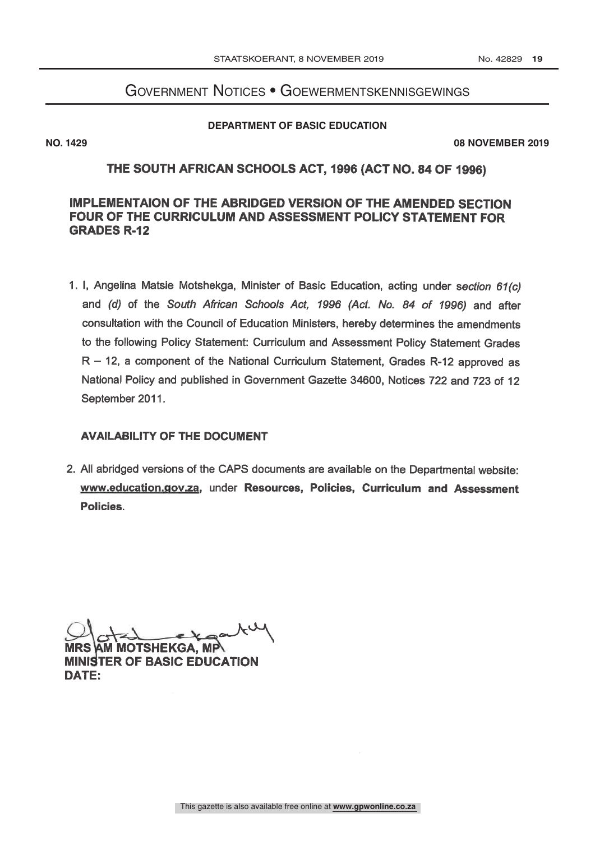# Government Notices • Goewermentskennisgewings

### **DEPARTMENT OF BASIC EDUCATION**

**NO. 1429 08 NOVEMBER 2019** 

## THE SOUTH AFRICAN SCHOOLS ACT, 1996 (ACT NO. 84 OF 1996)

# **IMPLEMENTAION OF THE ABRIDGED VERSION OF THE AMENDED SECTION** FOUR OF THE CURRICULUM AND ASSESSMENT POLICY STATEMENT FOR **GRADES R-12**

1. I, Angelina Matsie Motshekga, Minister of Basic Education, acting under section 61(c) and (d) of the South African Schools Act, 1996 (Act. No. 84 of 1996) and after consultation with the Council of Education Ministers, hereby determines the amendments to the following Policy Statement: Curriculum and Assessment Policy Statement Grades  $R - 12$ , a component of the National Curriculum Statement, Grades R-12 approved as National Policy and published in Government Gazette 34600, Notices 722 and 723 of 12 September 2011.

### **AVAILABILITY OF THE DOCUMENT**

2. All abridged versions of the CAPS documents are available on the Departmental website: www.education.gov.za, under Resources, Policies, Curriculum and Assessment Policies.

**MOTSHEKGA, MP MINISTER OF BASIC EDUCATION** DATE: